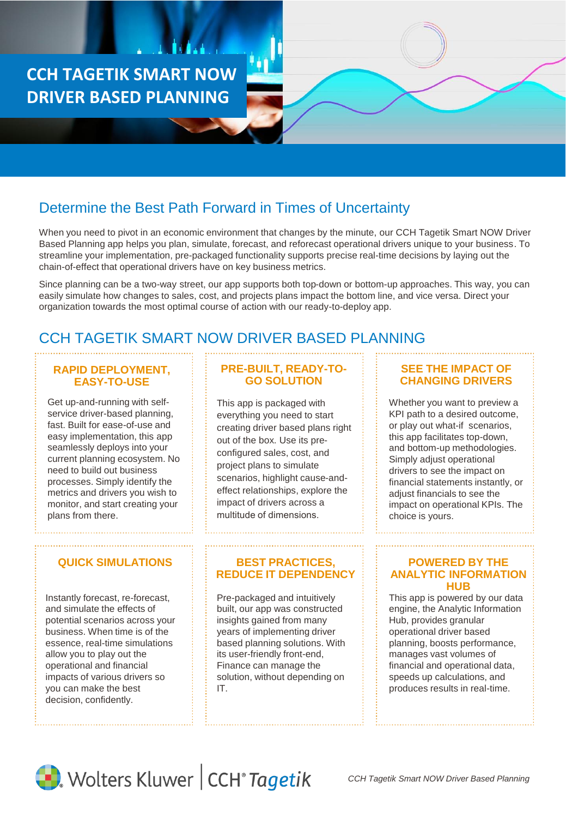**CCH TAGETIK SMART NOW DRIVER BASED PLANNING**

# Determine the Best Path Forward in Times of Uncertainty

When you need to pivot in an economic environment that changes by the minute, our CCH Tagetik Smart NOW Driver Based Planning app helps you plan, simulate, forecast, and reforecast operational drivers unique to your business. To streamline your implementation, pre-packaged functionality supports precise real-time decisions by laying out the chain-of-effect that operational drivers have on key business metrics.

Since planning can be a two-way street, our app supports both top-down or bottom-up approaches. This way, you can easily simulate how changes to sales, cost, and projects plans impact the bottom line, and vice versa. Direct your organization towards the most optimal course of action with our ready-to-deploy app.

# CCH TAGETIK SMART NOW DRIVER BASED PLANNING

### **RAPID DEPLOYMENT, EASY-TO-USE**

Get up-and-running with selfservice driver-based planning, fast. Built for ease-of-use and easy implementation, this app seamlessly deploys into your current planning ecosystem. No need to build out business processes. Simply identify the metrics and drivers you wish to monitor, and start creating your plans from there.

Instantly forecast, re-forecast, and simulate the effects of potential scenarios across your business. When time is of the essence, real-time simulations allow you to play out the operational and financial impacts of various drivers so you can make the best decision, confidently.

## **PRE-BUILT, READY-TO-GO SOLUTION**

This app is packaged with everything you need to start creating driver based plans right out of the box. Use its preconfigured sales, cost, and project plans to simulate scenarios, highlight cause-andeffect relationships, explore the impact of drivers across a multitude of dimensions.

#### **QUICK SIMULATIONS FOR BEST PRACTICES. REDUCE IT DEPENDENCY**

Pre-packaged and intuitively built, our app was constructed insights gained from many years of implementing driver based planning solutions. With its user-friendly front-end, Finance can manage the solution, without depending on IT.

#### **SEE THE IMPACT OF CHANGING DRIVERS**

Whether you want to preview a KPI path to a desired outcome, or play out what-if scenarios, this app facilitates top-down, and bottom-up methodologies. Simply adjust operational drivers to see the impact on financial statements instantly, or adjust financials to see the impact on operational KPIs. The choice is yours.

#### **POWERED BY THE ANALYTIC INFORMATION HUB**

This app is powered by our data engine, the Analytic Information Hub, provides granular operational driver based planning, boosts performance, manages vast volumes of financial and operational data, speeds up calculations, and produces results in real-time.



Wolters Kluwer | CCH<sup>®</sup> Tagetik